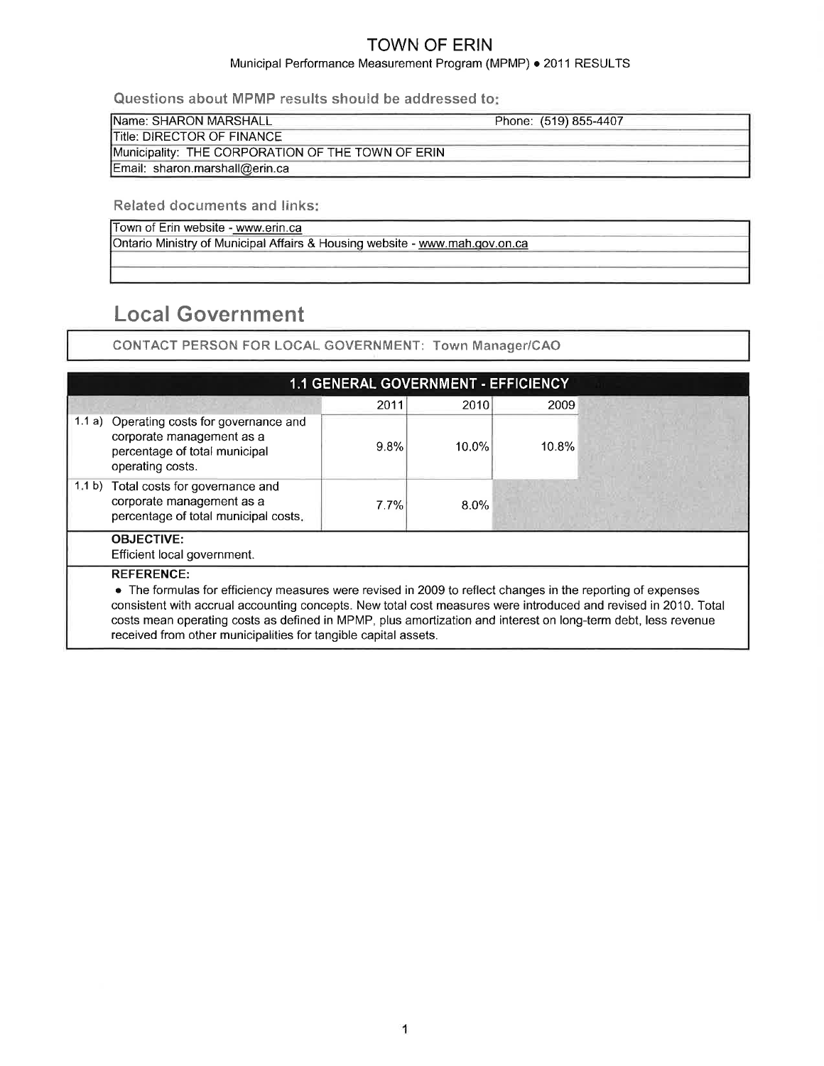### Municipal Performance Measurement Program (MPMP) . 2011 RESULTS

Questions about MPMP results should be addressed to

| <b>IName: SHARON MARSHALL</b>                     | Phone: (519) 855-4407 |  |
|---------------------------------------------------|-----------------------|--|
| <b>ITitle: DIRECTOR OF FINANCE</b>                |                       |  |
| Municipality: THE CORPORATION OF THE TOWN OF ERIN |                       |  |
| Email: sharon.marshall@erin.ca                    |                       |  |

Related documents and links:

Town of Erin website - www.erin.ca

Ontario Ministry of Municipal Affairs & Housing website - www.mah.qov.on.ca

# Local Government

CONTACT PERSON FOR LOCAL GOVERNMENT: Town Manager/CAO

|        |                                                                                                                                                                                                                                                                                                                                                                                                                                         | 1.1 GENERAL GOVERNMENT - EFFICIENCY |          |       |  |
|--------|-----------------------------------------------------------------------------------------------------------------------------------------------------------------------------------------------------------------------------------------------------------------------------------------------------------------------------------------------------------------------------------------------------------------------------------------|-------------------------------------|----------|-------|--|
|        |                                                                                                                                                                                                                                                                                                                                                                                                                                         | 2011                                | 2010     | 2009  |  |
|        | 1.1 a) Operating costs for governance and<br>corporate management as a<br>percentage of total municipal<br>operating costs.                                                                                                                                                                                                                                                                                                             | 9.8%                                | $10.0\%$ | 10.8% |  |
| 1.1 b) | Total costs for governance and<br>corporate management as a<br>percentage of total municipal costs.                                                                                                                                                                                                                                                                                                                                     | 7.7%                                | $8.0\%$  |       |  |
|        | <b>OBJECTIVE:</b><br>Efficient local government.                                                                                                                                                                                                                                                                                                                                                                                        |                                     |          |       |  |
|        | <b>REFERENCE:</b><br>• The formulas for efficiency measures were revised in 2009 to reflect changes in the reporting of expenses<br>consistent with accrual accounting concepts. New total cost measures were introduced and revised in 2010. Total<br>costs mean operating costs as defined in MPMP, plus amortization and interest on long-term debt, less revenue<br>received from other municipalities for tangible capital assets. |                                     |          |       |  |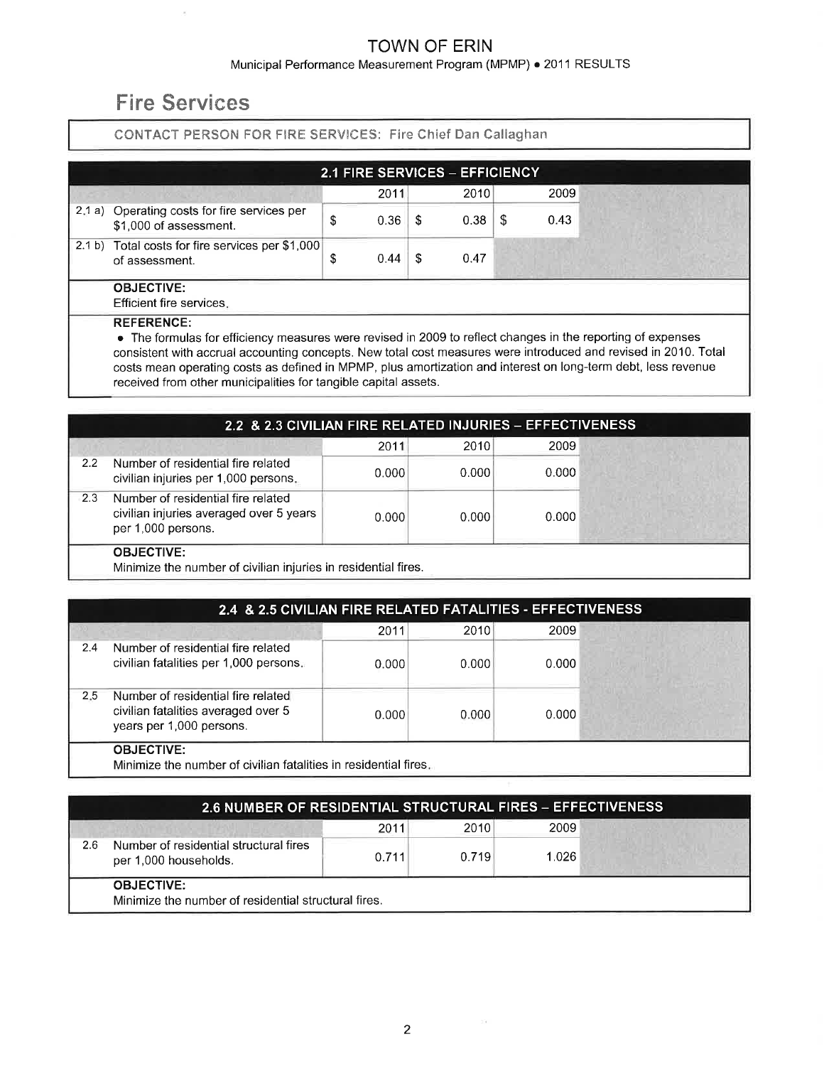#### Municipal Performance Measurement Program (MPMP) . 2011 RESULTS

# Fire Services

### CONTACT PERSON FOR FIRE SERVICES: Fire Chief Dan Callaghan

|                                                                        | 2.1 FIRE SERVICES - EFFICIENCY |      |    |      |   |      |  |  |
|------------------------------------------------------------------------|--------------------------------|------|----|------|---|------|--|--|
|                                                                        |                                | 2011 |    | 2010 |   | 2009 |  |  |
| 2.1 a) Operating costs for fire services per<br>\$1,000 of assessment. | 0.36<br>S                      |      | -S | 0.38 | S | 0.43 |  |  |
| 2.1 b) Total costs for fire services per \$1,000<br>of assessment.     | 0.44                           |      | -S | 0.47 |   |      |  |  |
| <b>OBJECTIVE:</b><br>Efficient fire services.                          |                                |      |    |      |   |      |  |  |
| <b>REFERENCE:</b>                                                      |                                |      |    |      |   |      |  |  |

o The formulas for efficiency measures were revised in 2009 to reflect changes in the reporting of expenses consistent with accrual accounting concepts. New total cost measures were introduced and revised in 2010. Total costs mean operating costs as defined in MPMP, plus amortization and interest on long-term debt, less revenue received from other municipalities for tangible capital assets.

|     | 2.2 & 2.3 CIVILIAN FIRE RELATED INJURIES - EFFECTIVENESS                                            |       |       |       |  |
|-----|-----------------------------------------------------------------------------------------------------|-------|-------|-------|--|
|     |                                                                                                     | 2011  | 2010  | 2009  |  |
| 2.2 | Number of residential fire related<br>civilian injuries per 1,000 persons.                          | 0.000 | 0.000 | 0.000 |  |
| 2.3 | Number of residential fire related<br>civilian injuries averaged over 5 years<br>per 1,000 persons. | 0.000 | 0.000 | 0.000 |  |
|     | <b>OBJECTIVE:</b><br>.                                                                              |       |       |       |  |

Minimize the number of civilian injuries in residential fires.

|                                                                                                              | 2.4 & 2.5 CIVILIAN FIRE RELATED FATALITIES - EFFECTIVENESS |        |       |
|--------------------------------------------------------------------------------------------------------------|------------------------------------------------------------|--------|-------|
|                                                                                                              | 2011                                                       | 2010   | 2009  |
| Number of residential fire related<br>2.4<br>civilian fatalities per 1,000 persons.                          | 0.0001                                                     | 0.0001 | 0.000 |
| Number of residential fire related<br>2.5<br>civilian fatalities averaged over 5<br>years per 1,000 persons. | 0.000                                                      | 0.000  | 0.000 |
| <b>OBJECTIVE:</b><br>Minimize the number of civilian fatalities in residential fires.                        |                                                            |        |       |

|     | <b>2.6 NUMBER OF RESIDENTIAL STRUCTURAL FIRES - EFFECTIVENESS</b>         |       |       |       |  |
|-----|---------------------------------------------------------------------------|-------|-------|-------|--|
|     |                                                                           | 2011  | 2010  | 2009  |  |
| 2.6 | Number of residential structural fires<br>per 1,000 households.           | 0.711 | 0.719 | 1.026 |  |
|     | <b>OBJECTIVE:</b><br>Minimize the number of residential structural fires. |       |       |       |  |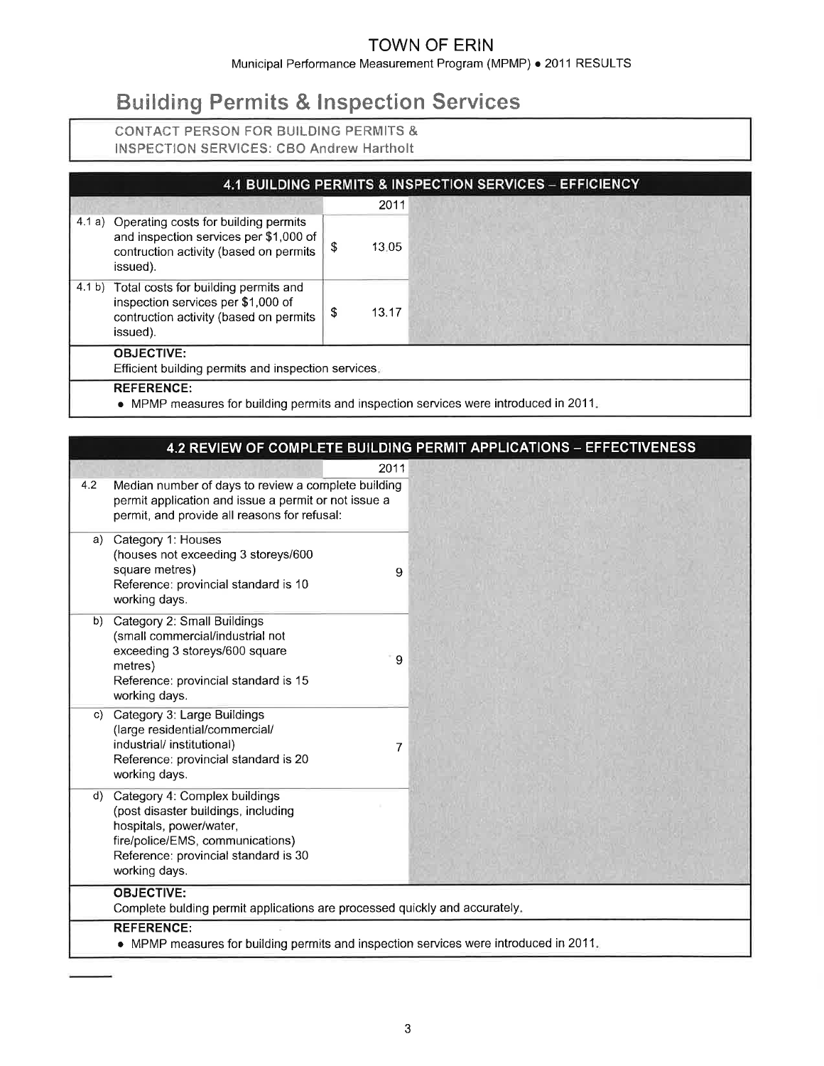Municipal Performance Measurement Program (MPMP) . 2011 RESULTS

# **Building Permits & Inspection Services**

### CONTACT PERSON FOR BUILDING PERMITS & INSPECTION SERVICES: CBO Andrew Hartholt

|                                                                                                                                             |    |       | 4.1 BUILDING PERMITS & INSPECTION SERVICES - EFFICIENCY |
|---------------------------------------------------------------------------------------------------------------------------------------------|----|-------|---------------------------------------------------------|
|                                                                                                                                             |    | 2011  |                                                         |
| 4.1 a) Operating costs for building permits<br>and inspection services per \$1,000 of<br>contruction activity (based on permits<br>issued). | \$ | 13.05 |                                                         |
| 4.1 b) Total costs for building permits and<br>inspection services per \$1,000 of<br>contruction activity (based on permits<br>issued).     | S  | 13.17 |                                                         |
| <b>OBJECTIVE:</b><br>Efficient building permits and inspection services.                                                                    |    |       |                                                         |
| <b>REFERENCE:</b><br>• MPMP measures for building permits and inspection services were introduced in $2011$ .                               |    |       |                                                         |

in MPMP measures for building permits and inspection services were introduced

|            |                                                                                                                                                                                              | 4.2 REVIEW OF COMPLETE BUILDING PERMIT APPLICATIONS - EFFECTIVENESS |
|------------|----------------------------------------------------------------------------------------------------------------------------------------------------------------------------------------------|---------------------------------------------------------------------|
| 4.2        | 2011<br>Median number of days to review a complete building<br>permit application and issue a permit or not issue a<br>permit, and provide all reasons for refusal:                          |                                                                     |
| a)         | Category 1: Houses<br>(houses not exceeding 3 storeys/600<br>square metres)<br>9<br>Reference: provincial standard is 10<br>working days.                                                    |                                                                     |
| b)         | Category 2: Small Buildings<br>(small commercial/industrial not<br>exceeding 3 storeys/600 square<br>9<br>metres)<br>Reference: provincial standard is 15<br>working days.                   |                                                                     |
| $\vert$ C) | Category 3: Large Buildings<br>(large residential/commercial/<br>industrial/ institutional)<br>7<br>Reference: provincial standard is 20<br>working days.                                    |                                                                     |
| d)         | Category 4: Complex buildings<br>(post disaster buildings, including<br>hospitals, power/water,<br>fire/police/EMS, communications)<br>Reference: provincial standard is 30<br>working days. |                                                                     |
|            | <b>OBJECTIVE:</b><br>Complete bulding permit applications are processed quickly and accurately.                                                                                              |                                                                     |
|            | <b>REFERENCE:</b><br>• MPMP measures for building permits and inspection services were introduced in 2011.                                                                                   |                                                                     |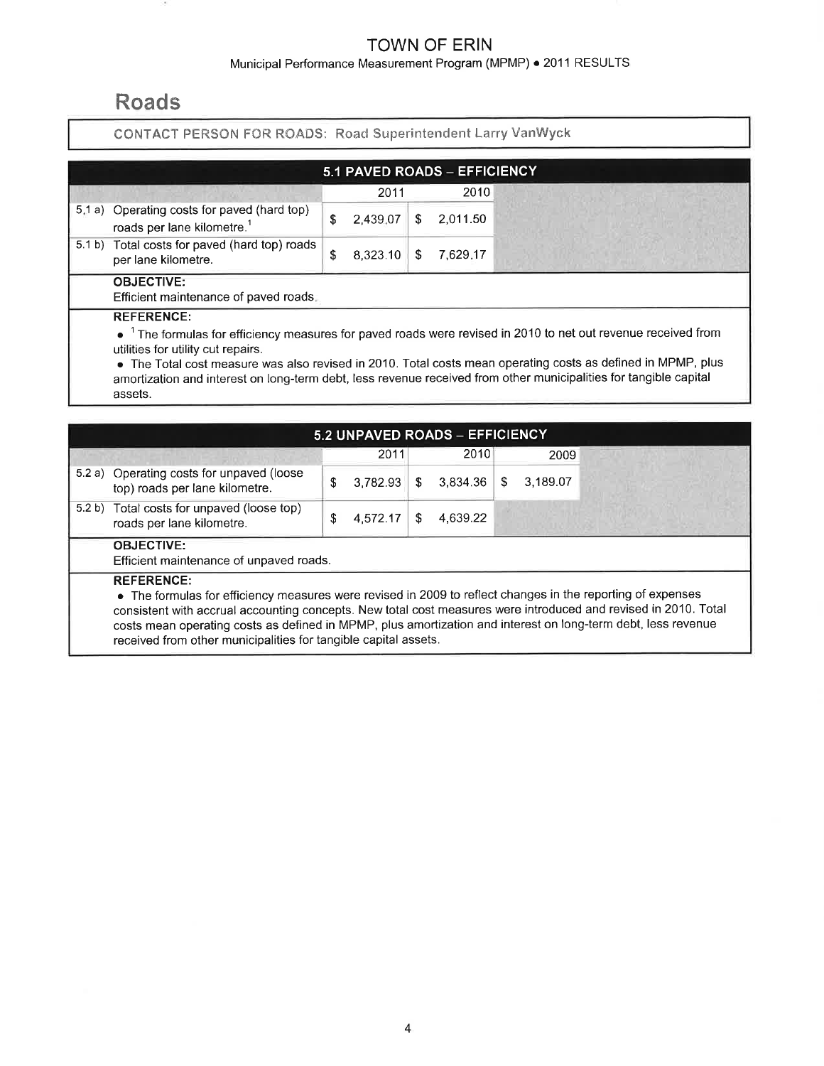### Municipal Performance Measurement Program (MPMP) . 2011 RESULTS

# Roads

### CONTACT PERSON FOR ROADS: Road Superintendent Larry VanWyck

|        |                                                                                |   | 5.1 PAVED ROADS - EFFICIENCY |    |          |
|--------|--------------------------------------------------------------------------------|---|------------------------------|----|----------|
|        |                                                                                |   | 2011                         |    | 2010     |
| 5, 1a) | Operating costs for paved (hard top)<br>roads per lane kilometre. <sup>1</sup> | S | 2,439.07                     | S. | 2.011.50 |
|        | 5.1 b) Total costs for paved (hard top) roads<br>per lane kilometre.           | S | 8,323.10                     | S  | 7.629.17 |
|        | <b>OBJECTIVE:</b><br>Efficient maintenance of paved roads.                     |   |                              |    |          |
|        | <b>REFERENCE:</b>                                                              |   |                              |    |          |

 $\bullet^{-1}$  The formulas for efficiency measures for paved roads were revised in 2010 to net out revenue received from utilities for utility cut repairs.

o The Total cost measure was also revised in2010. Total costs mean operating costs as defined in MPMP, plus amortization and interest on long-term debt, less revenue received from other municipalities for tangible capital assets.

|                                                                                                                                                                                                                                                                                                                                                                                                                                         |   |          |    | 5.2 UNPAVED ROADS - EFFICIENCY |    |          |  |
|-----------------------------------------------------------------------------------------------------------------------------------------------------------------------------------------------------------------------------------------------------------------------------------------------------------------------------------------------------------------------------------------------------------------------------------------|---|----------|----|--------------------------------|----|----------|--|
|                                                                                                                                                                                                                                                                                                                                                                                                                                         |   | 2011     |    | 2010                           |    | 2009     |  |
| 5.2 a) Operating costs for unpaved (loose<br>top) roads per lane kilometre.                                                                                                                                                                                                                                                                                                                                                             | S | 3.782.93 | \$ | 3.834.36                       | S. | 3,189.07 |  |
| 5.2 b) Total costs for unpaved (loose top)<br>roads per lane kilometre.                                                                                                                                                                                                                                                                                                                                                                 | S | 4.572.17 | S  | 4.639.22                       |    |          |  |
| <b>OBJECTIVE:</b><br>Efficient maintenance of unpaved roads.                                                                                                                                                                                                                                                                                                                                                                            |   |          |    |                                |    |          |  |
| <b>REFERENCE:</b><br>• The formulas for efficiency measures were revised in 2009 to reflect changes in the reporting of expenses<br>consistent with accrual accounting concepts. New total cost measures were introduced and revised in 2010. Total<br>costs mean operating costs as defined in MPMP, plus amortization and interest on long-term debt, less revenue<br>received from other municipalities for tangible capital assets. |   |          |    |                                |    |          |  |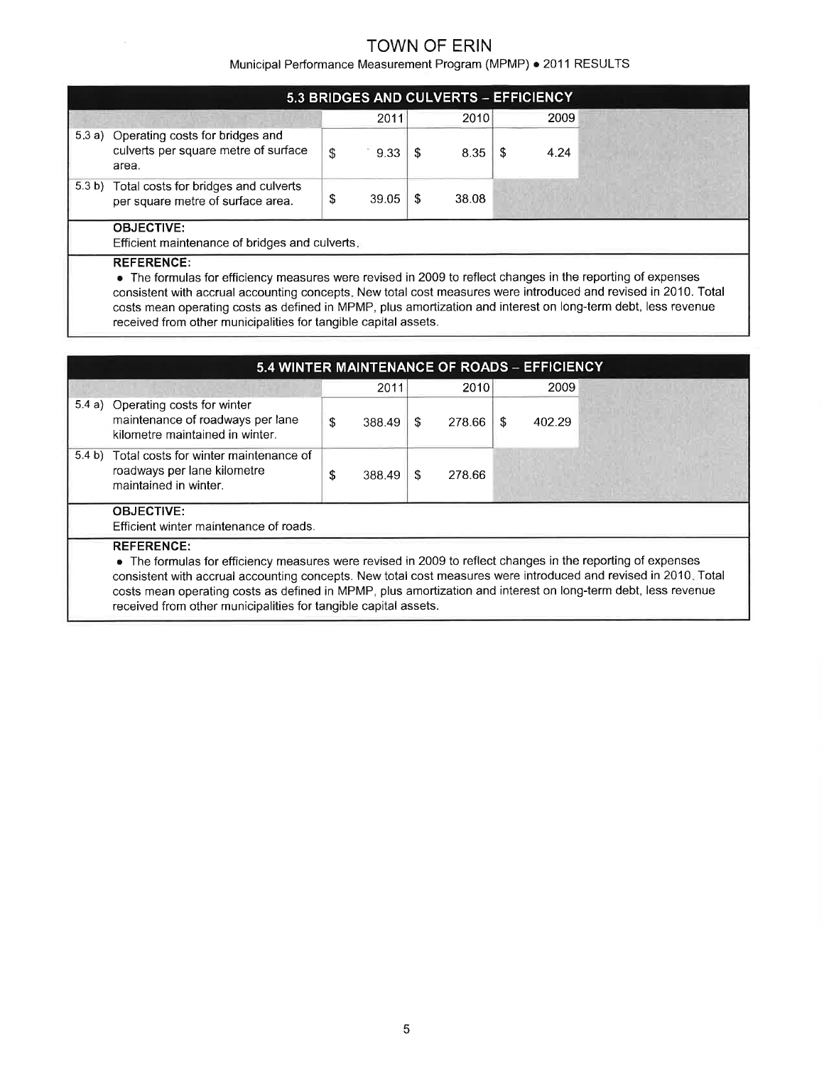Municipal Performance Measurement Program (MPMP) . 2011 RESULTS

|        |                                                                                         |   |       |   | 5.3 BRIDGES AND CULVERTS - EFFICIENCY |     |      |  |  |
|--------|-----------------------------------------------------------------------------------------|---|-------|---|---------------------------------------|-----|------|--|--|
|        |                                                                                         |   | 2011  |   | 2010                                  |     | 2009 |  |  |
|        | 5.3 a) Operating costs for bridges and<br>culverts per square metre of surface<br>area. | S | 9.33  | S | 8.35                                  | - S | 4.24 |  |  |
| 5.3 b) | Total costs for bridges and culverts<br>per square metre of surface area.               |   | 39.05 | S | 38.08                                 |     |      |  |  |
|        | <b>OBJECTIVE:</b>                                                                       |   |       |   |                                       |     |      |  |  |

Efficient maintenance of bridges and culverts

#### REFERENCE:

 $\bar{\nu}$ 

o The formulas for efficiency measures were revised in 2009 to reflect changes in the reporting of expenses consistent with accrual accounting concepts. New total cost measures were introduced and revised in 2010. Total costs mean operating costs as defined in MPMP, plus amortization and interest on long-term debt, less revenue received from other municipalities for tangible capital assets.

|        |                                                                                                                                                                                                                                                                                                                                                                                                                                         |              |     |        | 5.4 WINTER MAINTENANCE OF ROADS - EFFICIENCY |  |
|--------|-----------------------------------------------------------------------------------------------------------------------------------------------------------------------------------------------------------------------------------------------------------------------------------------------------------------------------------------------------------------------------------------------------------------------------------------|--------------|-----|--------|----------------------------------------------|--|
|        |                                                                                                                                                                                                                                                                                                                                                                                                                                         | 2011         |     | 2010   | 2009                                         |  |
| 5.4 a) | Operating costs for winter<br>maintenance of roadways per lane<br>kilometre maintained in winter.                                                                                                                                                                                                                                                                                                                                       | \$<br>388.49 | S.  | 278.66 | \$<br>402.29                                 |  |
| 5.4 b) | Total costs for winter maintenance of<br>roadways per lane kilometre<br>maintained in winter.                                                                                                                                                                                                                                                                                                                                           | \$<br>388.49 | -SS | 278.66 |                                              |  |
|        | <b>OBJECTIVE:</b><br>Efficient winter maintenance of roads.                                                                                                                                                                                                                                                                                                                                                                             |              |     |        |                                              |  |
|        | <b>REFERENCE:</b><br>• The formulas for efficiency measures were revised in 2009 to reflect changes in the reporting of expenses<br>consistent with accrual accounting concepts. New total cost measures were introduced and revised in 2010. Total<br>costs mean operating costs as defined in MPMP, plus amortization and interest on long-term debt, less revenue<br>received from other municipalities for tangible capital assets. |              |     |        |                                              |  |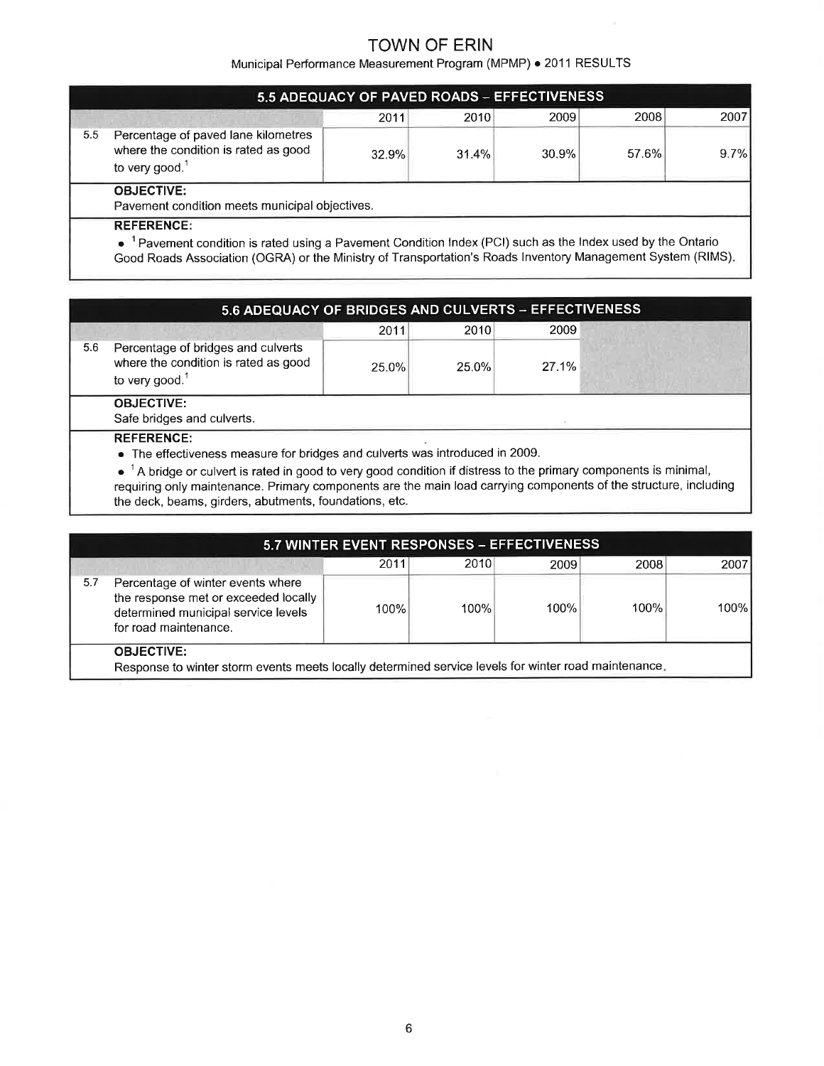Municipal Performance Measurement Program (MPMP) . 2011 RESULTS

|     |                                                                                                           | 5.5 ADEQUACY OF PAVED ROADS - EFFECTIVENESS |       |       |       |      |  |  |  |
|-----|-----------------------------------------------------------------------------------------------------------|---------------------------------------------|-------|-------|-------|------|--|--|--|
|     |                                                                                                           | 2011                                        | 2010  | 2009  | 2008  | 2007 |  |  |  |
| 5.5 | Percentage of paved lane kilometres<br>where the condition is rated as good<br>to very good. <sup>1</sup> | 32.9%                                       | 31.4% | 30.9% | 57.6% | 9.7% |  |  |  |
|     | <b>OBJECTIVE:</b>                                                                                         |                                             |       |       |       |      |  |  |  |
|     | Pavement condition meets municipal objectives.<br>DEEEDENCE.                                              |                                             |       |       |       |      |  |  |  |

REFERENCE:

 $\bullet^{-1}$  Pavement condition is rated using a Pavement Condition Index (PCI) such as the Index used by the Ontaric

Good Roads Association (OGRA) or the Ministry of Transportation's Roads lnventory Management System (RIMS)

|     | 5.6 ADEQUACY OF BRIDGES AND CULVERTS - EFFECTIVENESS                                            |       |       |       |  |  |  |  |  |  |  |
|-----|-------------------------------------------------------------------------------------------------|-------|-------|-------|--|--|--|--|--|--|--|
|     |                                                                                                 | 2011  | 2010  | 2009  |  |  |  |  |  |  |  |
| 5.6 | Percentage of bridges and culverts<br>where the condition is rated as good<br>to very good. $1$ | 25.0% | 25.0% | 27.1% |  |  |  |  |  |  |  |
|     | <b>OBJECTIVE:</b><br>Safe bridges and culverts.                                                 |       |       |       |  |  |  |  |  |  |  |
|     | <b>REFERENCE:</b>                                                                               |       |       |       |  |  |  |  |  |  |  |

o The effectiveness measure for bridges and culverts was introduced in 2009.

 $\bullet$  <sup>1</sup> A bridge or culvert is rated in good to very good condition if distress to the primary components is minimal requiring only maintenance. Primary components are the main load carrying components of the structure, including the deck, beams, girders, abutments, foundations, etc.

|     |                                                                                                                                           | 5.7 WINTER EVENT RESPONSES - EFFECTIVENESS |      |      |      |       |
|-----|-------------------------------------------------------------------------------------------------------------------------------------------|--------------------------------------------|------|------|------|-------|
|     |                                                                                                                                           | 2011                                       | 2010 | 2009 | 2008 | 2007  |
| 5.7 | Percentage of winter events where<br>the response met or exceeded locally<br>determined municipal service levels<br>for road maintenance. | 100%                                       | 100% | 100% | 100% | 100%l |
|     | <b>OBJECTIVE:</b><br>Response to winter storm events meets locally determined service levels for winter road maintenance.                 |                                            |      |      |      |       |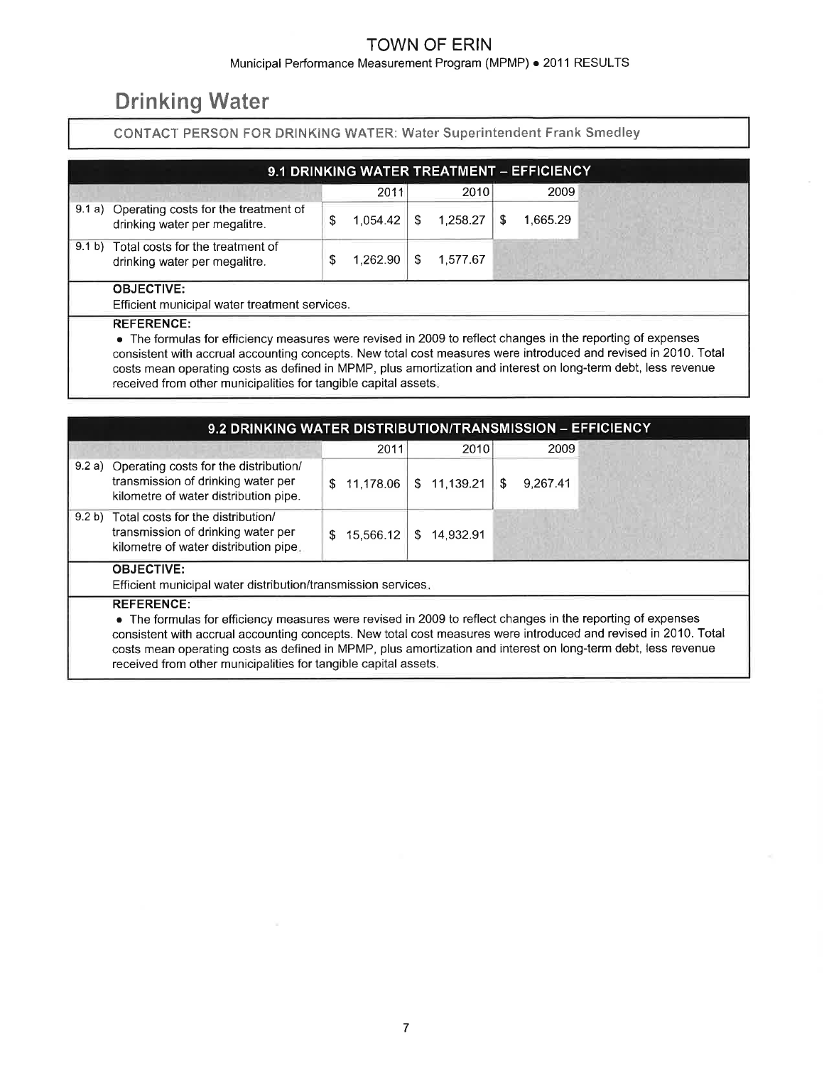### Municipal Performance Measurement Program (MPMP) . 2011 RESULTS

# **Drinking Water**

### CONTACT PERSON FOR DRINKING WATER: Water Superintendent Frank Smedley

| 9.1 DRINKING WATER TREATMENT - EFFICIENCY                                    |  |          |     |          |   |          |  |  |  |  |  |  |
|------------------------------------------------------------------------------|--|----------|-----|----------|---|----------|--|--|--|--|--|--|
|                                                                              |  | 2011     |     | 2010     |   | 2009     |  |  |  |  |  |  |
| 9.1 a) Operating costs for the treatment of<br>drinking water per megalitre. |  | 1.054.42 | \$. | 1.258.27 | S | 1.665.29 |  |  |  |  |  |  |
| 9.1 b) Total costs for the treatment of<br>drinking water per megalitre.     |  | 1.262.90 |     | 1.577.67 |   |          |  |  |  |  |  |  |
| <b>OBJECTIVE:</b><br>Efficient municipal water treatment services.           |  |          |     |          |   |          |  |  |  |  |  |  |

#### REFERENGE:

o The formulas for efficiency measures were revised in 2009 to reflect changes in the reporting of expenses consistent with accrual accounting concepts. New total cost measures were introduced and revised in 2010. Total costs mean operating costs as defined in MPMP, plus amortization and interest on long-term debt, less revenue received from other municipalities for tangible capital assets

| 9.2 DRINKING WATER DISTRIBUTION/TRANSMISSION - EFFICIENCY                                                                                                                                                                                                                                                                                                                                                                               |                  |             |                |  |
|-----------------------------------------------------------------------------------------------------------------------------------------------------------------------------------------------------------------------------------------------------------------------------------------------------------------------------------------------------------------------------------------------------------------------------------------|------------------|-------------|----------------|--|
|                                                                                                                                                                                                                                                                                                                                                                                                                                         | 2011             | 2010        | 2009           |  |
| 9.2 a) Operating costs for the distribution/<br>transmission of drinking water per<br>kilometre of water distribution pipe.                                                                                                                                                                                                                                                                                                             | 11.178.06<br>SS. | \$11,139.21 | 9,267.41<br>S. |  |
| 9.2 b) Total costs for the distribution/<br>transmission of drinking water per<br>kilometre of water distribution pipe.                                                                                                                                                                                                                                                                                                                 | 15,566.12<br>\$. | \$14.932.91 |                |  |
| <b>OBJECTIVE:</b><br>Efficient municipal water distribution/transmission services.                                                                                                                                                                                                                                                                                                                                                      |                  |             |                |  |
| <b>REFERENCE:</b><br>• The formulas for efficiency measures were revised in 2009 to reflect changes in the reporting of expenses<br>consistent with accrual accounting concepts. New total cost measures were introduced and revised in 2010. Total<br>costs mean operating costs as defined in MPMP, plus amortization and interest on long-term debt, less revenue<br>received from other municipalities for tangible capital assets. |                  |             |                |  |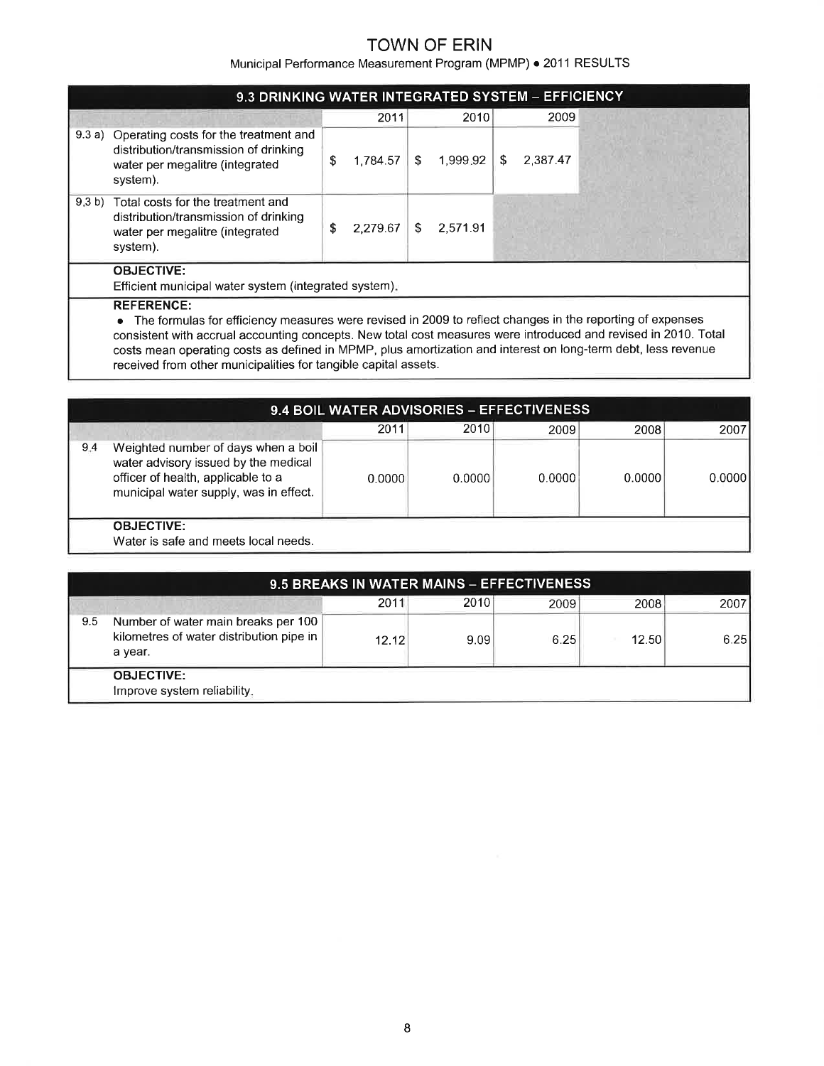Municipal Performance Measurement Program (MPMP) . 2011 RESULTS

|                                 | 2011                                                                                                                                                         |                      | 2010     |   | 2009                                              |
|---------------------------------|--------------------------------------------------------------------------------------------------------------------------------------------------------------|----------------------|----------|---|---------------------------------------------------|
| \$                              |                                                                                                                                                              | S                    | 1,999.92 | S | 2.387.47                                          |
| S                               |                                                                                                                                                              | S                    | 2.571.91 |   |                                                   |
| water per megalitre (integrated | Operating costs for the treatment and<br>distribution/transmission of drinking<br>Total costs for the treatment and<br>distribution/transmission of drinking | 1.784.57<br>2.279.67 |          |   | 9.3 DRINKING WATER INTEGRATED SYSTEM - EFFICIENCY |

#### REFERENCE:

o The formulas for efficiency measures were revised in 2009 to reflect changes in the reporting of expenses consistent with accrual accounting concepts. New total cost measures were introduced and revised in 2010. Total costs mean operating costs as defined in MPMP, plus amortization and interest on long-term debt, less revenue received from other municipalities for tangible capital assets.

|     |                                                                                                                                                             |        | 9.4 BOIL WATER ADVISORIES - EFFECTIVENESS |        |        |        |
|-----|-------------------------------------------------------------------------------------------------------------------------------------------------------------|--------|-------------------------------------------|--------|--------|--------|
|     |                                                                                                                                                             | 2011   | 2010                                      | 2009   | 2008   | 2007   |
| 9.4 | Weighted number of days when a boil<br>water advisory issued by the medical<br>officer of health, applicable to a<br>municipal water supply, was in effect. | 0.0000 | 0.0000                                    | 0.0000 | 0.0000 | 0.0000 |
|     | <b>OBJECTIVE:</b><br>Water is safe and meets local needs.                                                                                                   |        |                                           |        |        |        |

|     |                                                                                            |       |      | 9.5 BREAKS IN WATER MAINS - EFFECTIVENESS |       |      |
|-----|--------------------------------------------------------------------------------------------|-------|------|-------------------------------------------|-------|------|
|     |                                                                                            | 2011  | 2010 | 2009                                      | 2008  | 2007 |
| 9.5 | Number of water main breaks per 100<br>kilometres of water distribution pipe in<br>a year. | 12.12 | 9.09 | 6.25                                      | 12.50 | 6.25 |
|     | <b>OBJECTIVE:</b><br>Improve system reliability.                                           |       |      |                                           |       |      |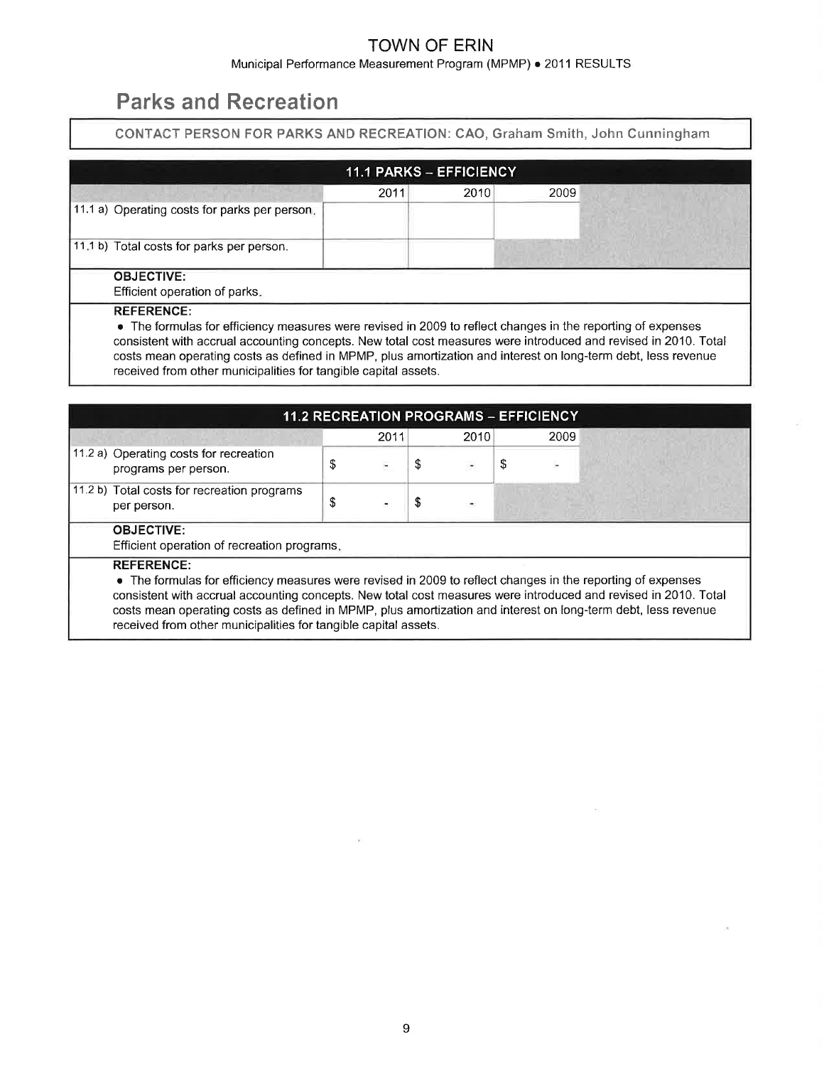Municipal Performance Measurement Program (MPMP) · 2011 RESULTS

# Parks and Recreation

CONTACT PERSON FOR PARKS AND RECREATION: CAO, Graham Smith, John Cunningham

|                                                                                                                                                                                                                                                   | <b>11.1 PARKS - EFFICIENCY</b>                                  |      |                                                                                                                 |  |  |  |  |  |  |
|---------------------------------------------------------------------------------------------------------------------------------------------------------------------------------------------------------------------------------------------------|-----------------------------------------------------------------|------|-----------------------------------------------------------------------------------------------------------------|--|--|--|--|--|--|
|                                                                                                                                                                                                                                                   | 2011                                                            | 2010 | 2009                                                                                                            |  |  |  |  |  |  |
| 11.1 a) Operating costs for parks per person.                                                                                                                                                                                                     |                                                                 |      |                                                                                                                 |  |  |  |  |  |  |
| 11.1 b) Total costs for parks per person.                                                                                                                                                                                                         |                                                                 |      |                                                                                                                 |  |  |  |  |  |  |
| <b>OBJECTIVE:</b><br>Efficient operation of parks.                                                                                                                                                                                                |                                                                 |      |                                                                                                                 |  |  |  |  |  |  |
| <b>REFERENCE:</b><br>• The formulas for efficiency measures were revised in 2009 to reflect changes in the reporting of expenses<br>costs mean operating costs as defined in MPMP, plus amortization and interest on long-term debt, less revenue | received from other municipalities for tangible capital assets. |      | consistent with accrual accounting concepts. New total cost measures were introduced and revised in 2010. Total |  |  |  |  |  |  |

|                                                                                                                                                                                                                                                                                                                                                                                                                                         |    |      |    | <b>11.2 RECREATION PROGRAMS - EFFICIENCY</b> |   |      |  |  |  |
|-----------------------------------------------------------------------------------------------------------------------------------------------------------------------------------------------------------------------------------------------------------------------------------------------------------------------------------------------------------------------------------------------------------------------------------------|----|------|----|----------------------------------------------|---|------|--|--|--|
|                                                                                                                                                                                                                                                                                                                                                                                                                                         |    | 2011 |    | 2010                                         |   | 2009 |  |  |  |
| 11.2 a) Operating costs for recreation<br>programs per person.                                                                                                                                                                                                                                                                                                                                                                          | \$ |      | \$ | ۰                                            | S |      |  |  |  |
| 11.2 b) Total costs for recreation programs<br>per person.                                                                                                                                                                                                                                                                                                                                                                              | S  |      | \$ |                                              |   |      |  |  |  |
| <b>OBJECTIVE:</b><br>Efficient operation of recreation programs.                                                                                                                                                                                                                                                                                                                                                                        |    |      |    |                                              |   |      |  |  |  |
| <b>REFERENCE:</b><br>• The formulas for efficiency measures were revised in 2009 to reflect changes in the reporting of expenses<br>consistent with accrual accounting concepts. New total cost measures were introduced and revised in 2010. Total<br>costs mean operating costs as defined in MPMP, plus amortization and interest on long-term debt, less revenue<br>received from other municipalities for tangible capital assets. |    |      |    |                                              |   |      |  |  |  |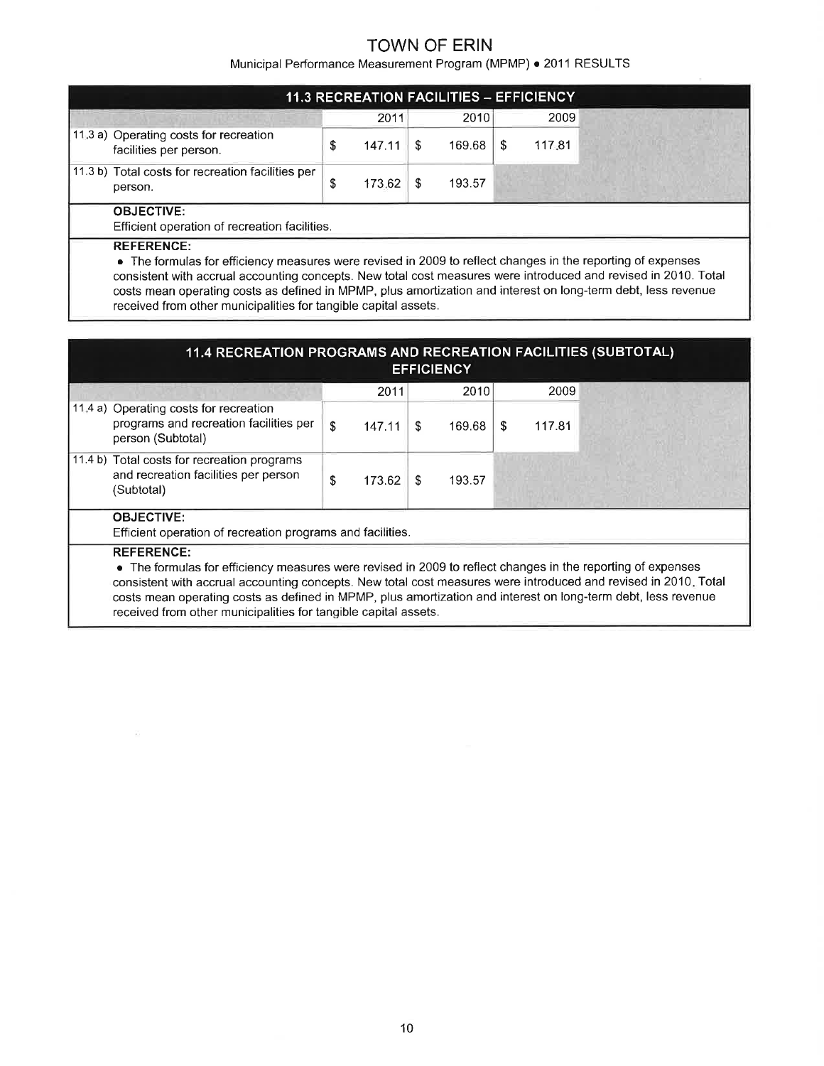Municipal Performance Measurement Program (MPMP) . 2011 RESULTS

|                                                                    |   |        |    | <b>11.3 RECREATION FACILITIES - EFFICIENCY</b> |   |        |  |
|--------------------------------------------------------------------|---|--------|----|------------------------------------------------|---|--------|--|
|                                                                    |   | 2011   |    | 2010                                           |   | 2009   |  |
| 11.3 a) Operating costs for recreation<br>facilities per person.   | S | 147.11 | -S | 169.68                                         | S | 117.81 |  |
| 11.3 b) Total costs for recreation facilities per<br>person.       | S | 173.62 | S  | 193.57                                         |   |        |  |
| <b>OBJECTIVE:</b><br>Efficient operation of recreation facilities. |   |        |    |                                                |   |        |  |
| <b>REFERENCE:</b>                                                  |   |        |    |                                                |   |        |  |

• The formulas for efficiency measures were revised in 2009 to reflect changes in the reporting of expenses consistent with accrual accounting concepts. New total cost measures were introduced and revised in 2010. Total costs mean operating costs as defined in MPMP, plus amortization and interest on long-term debt, less revenue received from other municipalities for tangible capital assets.

| 11.4 RECREATION PROGRAMS AND RECREATION FACILITIES (SUBTOTAL)<br><b>EFFICIENCY</b>                                                                                                                                                                                                                                                                                                                                                      |    |        |    |        |    |        |  |  |  |  |  |  |
|-----------------------------------------------------------------------------------------------------------------------------------------------------------------------------------------------------------------------------------------------------------------------------------------------------------------------------------------------------------------------------------------------------------------------------------------|----|--------|----|--------|----|--------|--|--|--|--|--|--|
|                                                                                                                                                                                                                                                                                                                                                                                                                                         |    | 2011   |    | 2010   |    | 2009   |  |  |  |  |  |  |
| 11.4 a) Operating costs for recreation<br>programs and recreation facilities per<br>person (Subtotal)                                                                                                                                                                                                                                                                                                                                   | \$ | 147.11 | Ŝ. | 169.68 | \$ | 117.81 |  |  |  |  |  |  |
| 11.4 b) Total costs for recreation programs<br>and recreation facilities per person<br>(Subtotal)                                                                                                                                                                                                                                                                                                                                       | \$ | 173.62 | \$ | 193.57 |    |        |  |  |  |  |  |  |
| <b>OBJECTIVE:</b><br>Efficient operation of recreation programs and facilities.                                                                                                                                                                                                                                                                                                                                                         |    |        |    |        |    |        |  |  |  |  |  |  |
| <b>REFERENCE:</b><br>• The formulas for efficiency measures were revised in 2009 to reflect changes in the reporting of expenses<br>consistent with accrual accounting concepts. New total cost measures were introduced and revised in 2010. Total<br>costs mean operating costs as defined in MPMP, plus amortization and interest on long-term debt, less revenue<br>received from other municipalities for tangible capital assets. |    |        |    |        |    |        |  |  |  |  |  |  |

×